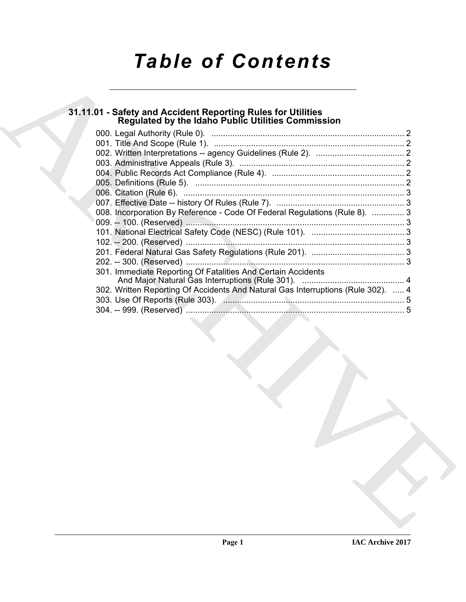# *Table of Contents*

## **31.11.01 - Safety and Accident Reporting Rules for Utilities Regulated by the Idaho Public Utilities Commission**

| 31.11.01 - Safety and Accident Reporting Rules for Utilities<br>Regulated by the Idaho Public Utilities Commission |
|--------------------------------------------------------------------------------------------------------------------|
|                                                                                                                    |
|                                                                                                                    |
|                                                                                                                    |
|                                                                                                                    |
|                                                                                                                    |
|                                                                                                                    |
|                                                                                                                    |
| 008. Incorporation By Reference - Code Of Federal Regulations (Rule 8).  3                                         |
|                                                                                                                    |
|                                                                                                                    |
|                                                                                                                    |
|                                                                                                                    |
|                                                                                                                    |
| 301. Immediate Reporting Of Fatalities And Certain Accidents                                                       |
| 302. Written Reporting Of Accidents And Natural Gas Interruptions (Rule 302).  4                                   |
|                                                                                                                    |
|                                                                                                                    |
|                                                                                                                    |
|                                                                                                                    |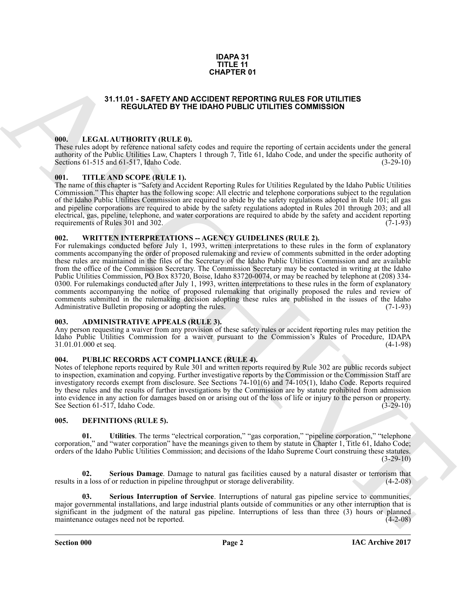#### **IDAPA 31 TITLE 11 CHAPTER 01**

## **31.11.01 - SAFETY AND ACCIDENT REPORTING RULES FOR UTILITIES REGULATED BY THE IDAHO PUBLIC UTILITIES COMMISSION**

#### <span id="page-1-1"></span><span id="page-1-0"></span>**000. LEGAL AUTHORITY (RULE 0).**

These rules adopt by reference national safety codes and require the reporting of certain accidents under the general authority of the Public Utilities Law, Chapters 1 through 7, Title 61, Idaho Code, and under the specific authority of Sections 61-515 and 61-517, Idaho Code. (3-29-10) Sections  $61-515$  and  $61-517$ , Idaho Code.

## <span id="page-1-2"></span>**001. TITLE AND SCOPE (RULE 1).**

The name of this chapter is "Safety and Accident Reporting Rules for Utilities Regulated by the Idaho Public Utilities Commission." This chapter has the following scope: All electric and telephone corporations subject to the regulation of the Idaho Public Utilities Commission are required to abide by the safety regulations adopted in Rule 101; all gas and pipeline corporations are required to abide by the safety regulations adopted in Rules 201 through 203; and all electrical, gas, pipeline, telephone, and water corporations are required to abide by the safety and accident reporting requirements of Rules 301 and 302. requirements of Rules 301 and 302.

## <span id="page-1-3"></span>**002. WRITTEN INTERPRETATIONS -- AGENCY GUIDELINES (RULE 2).**

31.11.01 - SAFETY AND APERT ON UNITED SOMETHING THE CONTROL TOWERS ON THE THIS COMMISSION<br>
THE CALL ATTENDENT VARIES AND ACCOUNT THE CONTROL THE CONTROL TO THE CONTROL THE CONTROL TO THE CONTROL THE CONTROL THE CONTROL TO For rulemakings conducted before July 1, 1993, written interpretations to these rules in the form of explanatory comments accompanying the order of proposed rulemaking and review of comments submitted in the order adopting these rules are maintained in the files of the Secretary of the Idaho Public Utilities Commission and are available from the office of the Commission Secretary. The Commission Secretary may be contacted in writing at the Idaho Public Utilities Commission, PO Box 83720, Boise, Idaho 83720-0074, or may be reached by telephone at (208) 334- 0300. For rulemakings conducted after July 1, 1993, written interpretations to these rules in the form of explanatory comments accompanying the notice of proposed rulemaking that originally proposed the rules and review of comments submitted in the rulemaking decision adopting these rules are published in the issues of the Idaho Administrative Bulletin proposing or adopting the rules. (7-1-93) Administrative Bulletin proposing or adopting the rules.

## <span id="page-1-4"></span>**003. ADMINISTRATIVE APPEALS (RULE 3).**

Any person requesting a waiver from any provision of these safety rules or accident reporting rules may petition the Idaho Public Utilities Commission for a waiver pursuant to the Commission's Rules of Procedure, IDAPA 31.01.01.000 et seq. (4-1-98)

#### <span id="page-1-5"></span>**004. PUBLIC RECORDS ACT COMPLIANCE (RULE 4).**

Notes of telephone reports required by Rule 301 and written reports required by Rule 302 are public records subject to inspection, examination and copying. Further investigative reports by the Commission or the Commission Staff are investigatory records exempt from disclosure. See Sections 74-101(6) and 74-105(1), Idaho Code. Reports required by these rules and the results of further investigations by the Commission are by statute prohibited from admission into evidence in any action for damages based on or arising out of the loss of life or injury to the person or property. See Section 61-517, Idaho Code.

## <span id="page-1-7"></span><span id="page-1-6"></span>**005. DEFINITIONS (RULE 5).**

<span id="page-1-10"></span>**01. Utilities**. The terms "electrical corporation," "gas corporation," "pipeline corporation," "telephone corporation," and "water corporation" have the meanings given to them by statute in Chapter 1, Title 61, Idaho Code; orders of the Idaho Public Utilities Commission; and decisions of the Idaho Supreme Court construing these statutes.  $(3-29-10)$ 

<span id="page-1-8"></span>**02.** Serious Damage. Damage to natural gas facilities caused by a natural disaster or terrorism that a loss of or reduction in pipeline throughput or storage deliverability. (4-2-08) results in a loss of or reduction in pipeline throughput or storage deliverability.

<span id="page-1-9"></span>**03. Serious Interruption of Service**. Interruptions of natural gas pipeline service to communities, major governmental installations, and large industrial plants outside of communities or any other interruption that is significant in the judgment of the natural gas pipeline. Interruptions of less than three (3) hours or planned maintenance outages need not be reported.  $(4-2-08)$ maintenance outages need not be reported.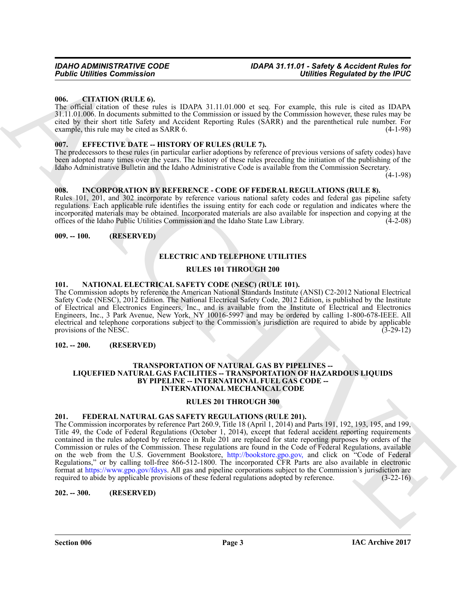#### <span id="page-2-0"></span>**006. CITATION (RULE 6).**

The official citation of these rules is IDAPA 31.11.01.000 et seq. For example, this rule is cited as IDAPA 31.11.01.006. In documents submitted to the Commission or issued by the Commission however, these rules may be cited by their short title Safety and Accident Reporting Rules (SARR) and the parenthetical rule number. For example, this rule may be cited as SARR 6. (4-1-98)

#### <span id="page-2-1"></span>**EFFECTIVE DATE -- HISTORY OF RULES (RULE 7).**

The predecessors to these rules (in particular earlier adoptions by reference of previous versions of safety codes) have been adopted many times over the years. The history of these rules preceding the initiation of the publishing of the Idaho Administrative Bulletin and the Idaho Administrative Code is available from the Commission Secretary.

(4-1-98)

## <span id="page-2-2"></span>**008. INCORPORATION BY REFERENCE - CODE OF FEDERAL REGULATIONS (RULE 8).**

Rules 101, 201, and 302 incorporate by reference various national safety codes and federal gas pipeline safety regulations. Each applicable rule identifies the issuing entity for each code or regulation and indicates where the incorporated materials may be obtained. Incorporated materials are also available for inspection and copying at the offices of the Idaho Public Utilities Commission and the Idaho State Law Library.

#### <span id="page-2-3"></span>**009. -- 100. (RESERVED)**

## <span id="page-2-8"></span>**ELECTRIC AND TELEPHONE UTILITIES**

#### **RULES 101 THROUGH 200**

#### <span id="page-2-10"></span><span id="page-2-4"></span>**101. NATIONAL ELECTRICAL SAFETY CODE (NESC) (RULE 101).**

The Commission adopts by reference the American National Standards Institute (ANSI) C2-2012 National Electrical Safety Code (NESC), 2012 Edition. The National Electrical Safety Code, 2012 Edition, is published by the Institute of Electrical and Electronics Engineers, Inc., and is available from the Institute of Electrical and Electronics Engineers, Inc., 3 Park Avenue, New York, NY 10016-5997 and may be ordered by calling 1-800-678-IEEE. All electrical and telephone corporations subject to the Commission's jurisdiction are required to abide by applicable provisions of the NESC. (3-29-12)

#### <span id="page-2-5"></span>**102. -- 200. (RESERVED)**

#### <span id="page-2-11"></span>**TRANSPORTATION OF NATURAL GAS BY PIPELINES -- LIQUEFIED NATURAL GAS FACILITIES -- TRANSPORTATION OF HAZARDOUS LIQUIDS BY PIPELINE -- INTERNATIONAL FUEL GAS CODE -- INTERNATIONAL MECHANICAL CODE**

#### **RULES 201 THROUGH 300**

#### <span id="page-2-9"></span><span id="page-2-6"></span>**201. FEDERAL NATURAL GAS SAFETY REGULATIONS (RULE 201).**

**FORD CONTINUOS**<br> **CONTROL INTER[V](http://bookstore.gpo.gov)IENCES**<br> **CONTROL INTERVIENCES**<br> **CONTROL INTERVIENCES**<br> **CONTROL INTERVIENCES**<br> **CONTROL INTERVIENCES**<br> **CONTROL INTERVIENCES**<br> **CONTROL INTERVIENCES**<br> **CONTROL INTERVIENCES**<br> **CONTROL IN** The Commission incorporates by reference Part 260.9, Title 18 (April 1, 2014) and Parts 191, 192, 193, 195, and 199, Title 49, the Code of Federal Regulations (October 1, 2014), except that federal accident reporting requirements contained in the rules adopted by reference in Rule 201 are replaced for state reporting purposes by orders of the Commission or rules of the Commission. These regulations are found in the Code of Federal Regulations, available on the web from the U.S. Government Bookstore, http://bookstore.gpo.gov, and click on "Code of Federal Regulations," or by calling toll-free 866-512-1800. The incorporated CFR Parts are also available in electronic format at https://www.gpo.gov/fdsys. All gas and pipeline corporations subject to the Commission's jurisdiction are required to abide by applicable provisions of these federal regulations adopted by reference. (3-22-16) required to abide by applicable provisions of these federal regulations adopted by reference.

#### <span id="page-2-7"></span>**202. -- 300. (RESERVED)**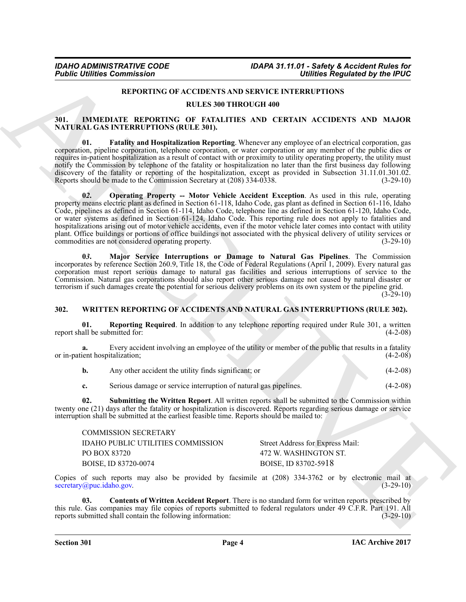## <span id="page-3-6"></span><span id="page-3-3"></span>**REPORTING OF ACCIDENTS AND SERVICE INTERRUPTIONS**

#### **RULES 300 THROUGH 400**

## <span id="page-3-2"></span><span id="page-3-0"></span>**301. IMMEDIATE REPORTING OF FATALITIES AND CERTAIN ACCIDENTS AND MAJOR NATURAL GAS INTERRUPTIONS (RULE 301).**

<span id="page-3-5"></span>**01. Fatality and Hospitalization Reporting**. Whenever any employee of an electrical corporation, gas corporation, pipeline corporation, telephone corporation, or water corporation or any member of the public dies or requires in-patient hospitalization as a result of contact with or proximity to utility operating property, the utility must notify the Commission by telephone of the fatality or hospitalization no later than the first business day following discovery of the fatality or reporting of the hospitalization, except as provided in Subsection 31.11.01.301.02.<br>Reports should be made to the Commission Secretary at (208) 334-0338. (3-29-10) Reports should be made to the Commission Secretary at  $(208)$  334-0338.

**Foshie Uniter Commission Towards (ACCUSENTS)** AND SHAPPLEX INTERFERENCE By the **PEOPLE CONTRACT CONTRACT CONTRACT CONTRACT CONTRACT CONTRACT CONTRACT CONTRACT CONTRACT CONTRACT CONTRACT CONTRACT CONTRACT CONTRACT CONTRAC 0***2***. Operating Property -- Motor Vehicle Accident Exception**. As used in this rule, operating property means electric plant as defined in Section 61-118, Idaho Code, gas plant as defined in Section 61-116, Idaho Code, pipelines as defined in Section 61-114, Idaho Code, telephone line as defined in Section 61-120, Idaho Code, or water systems as defined in Section 61-124, Idaho Code. This reporting rule does not apply to fatalities and hospitalizations arising out of motor vehicle accidents, even if the motor vehicle later comes into contact with utility plant. Office buildings or portions of office buildings not associated with the physical delivery of utility services or commodities are not considered operating property. (3-29-10) commodities are not considered operating property.

<span id="page-3-4"></span>**0***3***. Major Service Interruptions or Damage to Natural Gas Pipelines**. The Commission incorporates by reference Section 260.9, Title 18, the Code of Federal Regulations (April 1, 2009). Every natural gas corporation must report serious damage to natural gas facilities and serious interruptions of service to the Commission. Natural gas corporations should also report other serious damage not caused by natural disaster or terrorism if such damages create the potential for serious delivery problems on its own system or the pipeline grid.

 $(3-29-10)$ 

#### <span id="page-3-7"></span><span id="page-3-1"></span>**302. WRITTEN REPORTING OF ACCIDENTS AND NATURAL GAS INTERRUPTIONS (RULE 302).**

<span id="page-3-9"></span>**01. Reporting Required**. In addition to any telephone reporting required under Rule 301, a written report shall be submitted for: (4-2-08)

**a.** Every accident involving an employee of the utility or member of the public that results in a fatality ient hospitalization; (4-2-08) or in-patient hospitalization;

<span id="page-3-10"></span>**c.** Serious damage or service interruption of natural gas pipelines. (4-2-08)

**02. Submitting the Written Report**. All written reports shall be submitted to the Commission within twenty one (21) days after the fatality or hospitalization is discovered. Reports regarding serious damage or service interruption shall be submitted at the earliest feasible time. Reports should be mailed to:

| COMMISSION SECKETARY              |                                  |
|-----------------------------------|----------------------------------|
| IDAHO PUBLIC UTILITIES COMMISSION | Street Address for Express Mail: |
| PO BOX 83720                      | 472 W. WASHINGTON ST.            |
| BOISE, ID 83720-0074              | BOISE, ID 83702-5918             |

Copies of such reports may also be provided by facsimile at  $(208)$  334-3762 or by electronic mail at secretary (apuc.idaho.gov.  $(3-29-10)$  $secretary@puc.idaho.gov.$ 

<span id="page-3-8"></span>**03. Contents of Written Accident Report**. There is no standard form for written reports prescribed by this rule. Gas companies may file copies of reports submitted to federal regulators under 49 C.F.R. Part 191. All<br>reports submitted shall contain the following information: (3-29-10) reports submitted shall contain the following information:

COMMISSION SECRETARY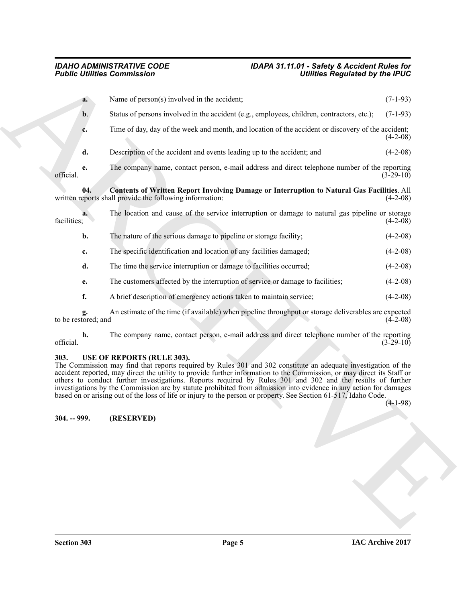<span id="page-4-3"></span>

|                           | <b>Public Utilities Commission</b><br>Utilities Regulated by the IPUC                                                                                                                                                                                                                                                                                                                                                                                                                                                                                                                                                         |             |
|---------------------------|-------------------------------------------------------------------------------------------------------------------------------------------------------------------------------------------------------------------------------------------------------------------------------------------------------------------------------------------------------------------------------------------------------------------------------------------------------------------------------------------------------------------------------------------------------------------------------------------------------------------------------|-------------|
| a.                        | Name of person(s) involved in the accident;                                                                                                                                                                                                                                                                                                                                                                                                                                                                                                                                                                                   | $(7-1-93)$  |
| $b$ .                     | Status of persons involved in the accident (e.g., employees, children, contractors, etc.);                                                                                                                                                                                                                                                                                                                                                                                                                                                                                                                                    | $(7-1-93)$  |
| c.                        | Time of day, day of the week and month, and location of the accident or discovery of the accident;                                                                                                                                                                                                                                                                                                                                                                                                                                                                                                                            | $(4-2-08)$  |
| d.                        | Description of the accident and events leading up to the accident; and                                                                                                                                                                                                                                                                                                                                                                                                                                                                                                                                                        | $(4-2-08)$  |
| e.<br>official.           | The company name, contact person, e-mail address and direct telephone number of the reporting                                                                                                                                                                                                                                                                                                                                                                                                                                                                                                                                 | $(3-29-10)$ |
| 04.                       | <b>Contents of Written Report Involving Damage or Interruption to Natural Gas Facilities.</b> All<br>written reports shall provide the following information:                                                                                                                                                                                                                                                                                                                                                                                                                                                                 | $(4-2-08)$  |
| a.<br>facilities;         | The location and cause of the service interruption or damage to natural gas pipeline or storage                                                                                                                                                                                                                                                                                                                                                                                                                                                                                                                               | $(4-2-08)$  |
| b.                        | The nature of the serious damage to pipeline or storage facility;                                                                                                                                                                                                                                                                                                                                                                                                                                                                                                                                                             | $(4-2-08)$  |
| c.                        | The specific identification and location of any facilities damaged;                                                                                                                                                                                                                                                                                                                                                                                                                                                                                                                                                           | $(4-2-08)$  |
| d.                        | The time the service interruption or damage to facilities occurred;                                                                                                                                                                                                                                                                                                                                                                                                                                                                                                                                                           | $(4-2-08)$  |
| e.                        | The customers affected by the interruption of service or damage to facilities;                                                                                                                                                                                                                                                                                                                                                                                                                                                                                                                                                | $(4-2-08)$  |
| f.                        | A brief description of emergency actions taken to maintain service;                                                                                                                                                                                                                                                                                                                                                                                                                                                                                                                                                           | $(4-2-08)$  |
| g.<br>to be restored; and | An estimate of the time (if available) when pipeline throughput or storage deliverables are expected                                                                                                                                                                                                                                                                                                                                                                                                                                                                                                                          | $(4-2-08)$  |
| h.<br>official.           | The company name, contact person, e-mail address and direct telephone number of the reporting                                                                                                                                                                                                                                                                                                                                                                                                                                                                                                                                 | $(3-29-10)$ |
| 303.                      | USE OF REPORTS (RULE 303).<br>The Commission may find that reports required by Rules 301 and 302 constitute an adequate investigation of the<br>accident reported, may direct the utility to provide further information to the Commission, or may direct its Staff or<br>others to conduct further investigations. Reports required by Rules 301 and 302 and the results of further<br>investigations by the Commission are by statute prohibited from admission into evidence in any action for damages<br>based on or arising out of the loss of life or injury to the person or property. See Section 61-517, Idaho Code. | $(4-1-98)$  |
| 304. -- 999.              | (RESERVED)                                                                                                                                                                                                                                                                                                                                                                                                                                                                                                                                                                                                                    |             |
|                           |                                                                                                                                                                                                                                                                                                                                                                                                                                                                                                                                                                                                                               |             |

## <span id="page-4-2"></span><span id="page-4-1"></span><span id="page-4-0"></span>**303. USE OF REPORTS (RULE 303).**